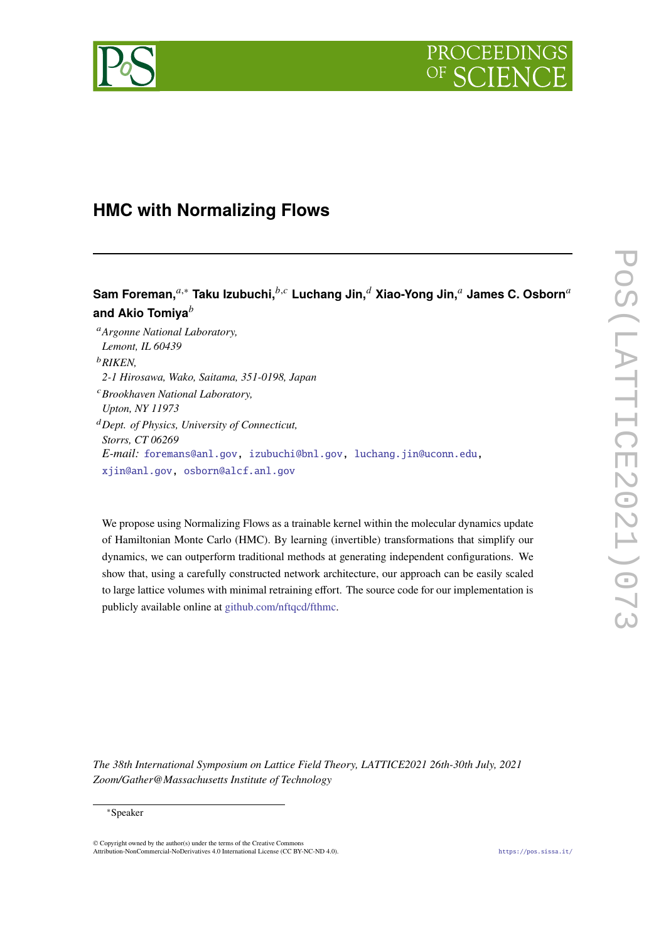

# **HMC with Normalizing Flows**

## **Sam Foreman,**<sup>*a*,∗</sup> Taku Izubuchi,<sup>*b,c*</sup> Luchang Jin,<sup>*d*</sup> Xiao-Yong Jin,<sup>*a*</sup> James C. Osborn<sup>*a*</sup> **and Akio Tomiya**

*Argonne National Laboratory, Lemont, IL 60439 RIKEN, 2-1 Hirosawa, Wako, Saitama, 351-0198, Japan Brookhaven National Laboratory, Upton, NY 11973 Dept. of Physics, University of Connecticut, Storrs, CT 06269 E-mail:* [foremans@anl.gov](mailto:foremans@anl.gov), [izubuchi@bnl.gov](mailto:izubuchi@bnl.gov), [luchang.jin@uconn.edu,](mailto:luchang.jin@uconn.edu) [xjin@anl.gov](mailto:xjin@anl.gov), [osborn@alcf.anl.gov](mailto:osborn@alcf.anl.gov)

We propose using Normalizing Flows as a trainable kernel within the molecular dynamics update of Hamiltonian Monte Carlo (HMC). By learning (invertible) transformations that simplify our dynamics, we can outperform traditional methods at generating independent configurations. We show that, using a carefully constructed network architecture, our approach can be easily scaled to large lattice volumes with minimal retraining effort. The source code for our implementation is publicly available online at [github.com/nftqcd/fthmc.](https://www.github.com/nftqcd/fthmc)

*The 38th International Symposium on Lattice Field Theory, LATTICE2021 26th-30th July, 2021 Zoom/Gather@Massachusetts Institute of Technology*

#### ∗Speaker

 $\odot$  Copyright owned by the author(s) under the terms of the Creative Common Attribution-NonCommercial-NoDerivatives 4.0 International License (CC BY-NC-ND 4.0). <https://pos.sissa.it/>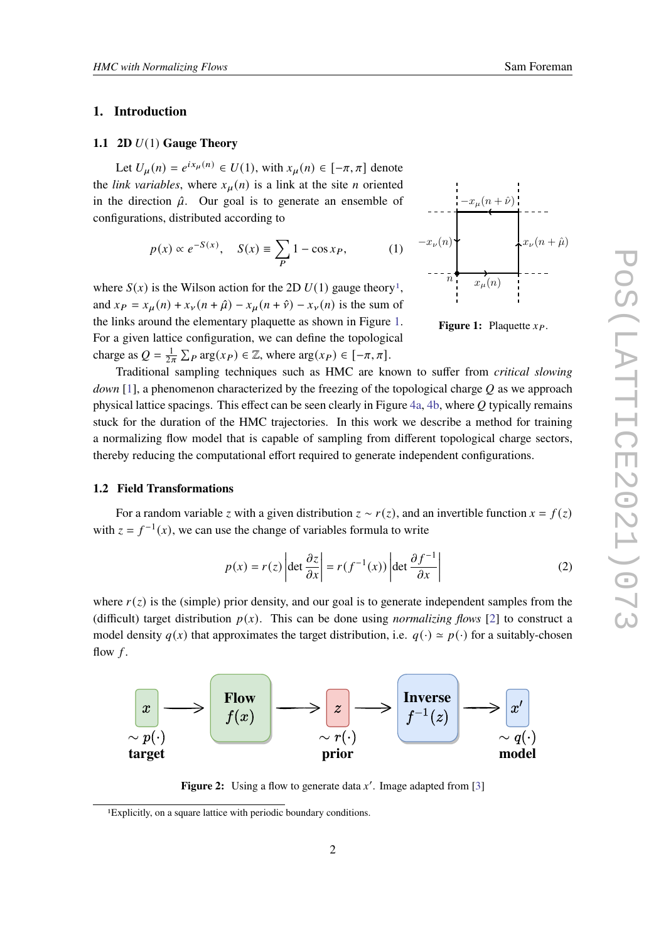#### **1. Introduction**

### **1.1 2D**  $U(1)$  **Gauge Theory**

Let  $U_{\mu}(n) = e^{ix_{\mu}(n)} \in U(1)$ , with  $x_{\mu}(n) \in [-\pi, \pi]$  denote the *link variables*, where  $x_{\mu}(n)$  is a link at the site *n* oriented in the direction  $\hat{\mu}$ . Our goal is to generate an ensemble of configurations, distributed according to

$$
p(x) \propto e^{-S(x)}, \quad S(x) \equiv \sum_{P} 1 - \cos x_P, \tag{1}
$$

where  $S(x)$  is the Wilson action for the 2D  $U(1)$  $U(1)$  $U(1)$  gauge theory<sup>1</sup>, and  $x_P = x_\mu(n) + x_\nu(n + \hat{\mu}) - x_\mu(n + \hat{\nu}) - x_\nu(n)$  is the sum of the links around the elementary plaquette as shown in Figure [1.](#page-1-1) For a given lattice configuration, we can define the topological charge as  $Q = \frac{1}{2\pi} \sum_P \arg(x_P) \in \mathbb{Z}$ , where  $\arg(x_P) \in [-\pi, \pi]$ .

Traditional sampling techniques such as HMC are known to suffer from *critical slowing down* [\[1\]](#page-4-0), a phenomenon characterized by the freezing of the topological charge O as we approach physical lattice spacings. This effect can be seen clearly in Figure  $4a$ ,  $4b$ , where  $Q$  typically remains stuck for the duration of the HMC trajectories. In this work we describe a method for training a normalizing flow model that is capable of sampling from different topological charge sectors, thereby reducing the computational effort required to generate independent configurations.

#### **1.2 Field Transformations**

For a random variable z with a given distribution  $z \sim r(z)$ , and an invertible function  $x = f(z)$ with  $z = f^{-1}(x)$ , we can use the change of variables formula to write

$$
p(x) = r(z) \left| \det \frac{\partial z}{\partial x} \right| = r(f^{-1}(x)) \left| \det \frac{\partial f^{-1}}{\partial x} \right| \tag{2}
$$

where  $r(z)$  is the (simple) prior density, and our goal is to generate independent samples from the (difficult) target distribution  $p(x)$ . This can be done using *normalizing flows* [[2](#page-4-1)] to construct a model density  $q(x)$  that approximates the target distribution, i.e.  $q(\cdot) \simeq p(\cdot)$  for a suitably-chosen flow  $f$ .



**Figure 2:** Using a flow to generate data  $x'$ . Image adapted from [\[3](#page-4-2)]

<span id="page-1-1"></span>



<span id="page-1-0"></span><sup>1</sup>Explicitly, on a square lattice with periodic boundary conditions.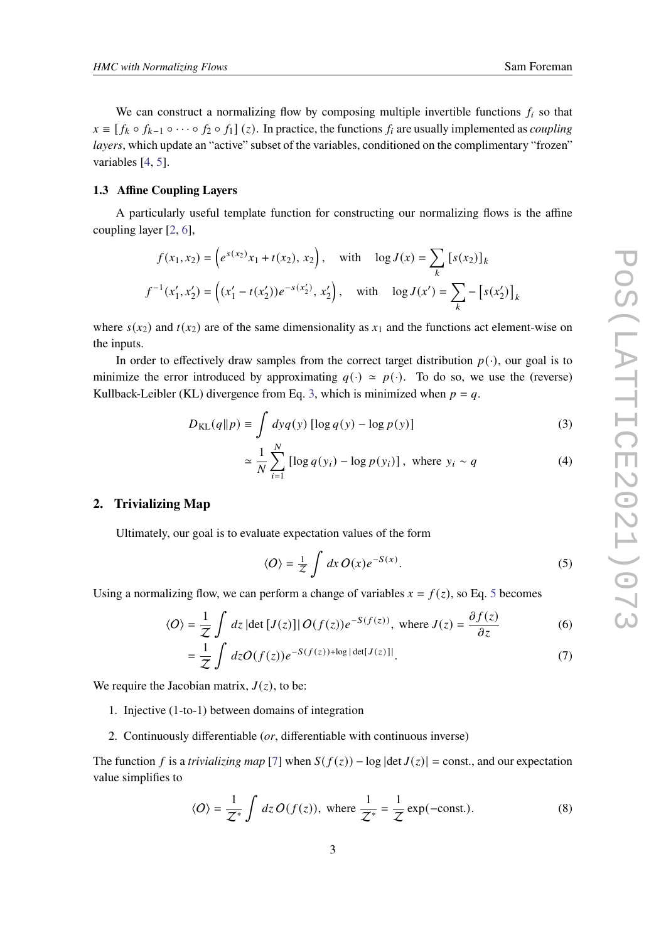We can construct a normalizing flow by composing multiple invertible functions  $f_i$  so that  $x \equiv [f_k \circ f_{k-1} \circ \cdots \circ f_2 \circ f_1](z)$ . In practice, the functions  $f_i$  are usually implemented as *coupling layers*, which update an "active" subset of the variables, conditioned on the complimentary "frozen" variables [\[4](#page-4-3), [5](#page-6-0)].

#### **1.3 Affine Coupling Layers**

A particularly useful template function for constructing our normalizing flows is the affine coupling layer [[2](#page-4-1), [6](#page-6-1)],

$$
f(x_1, x_2) = (e^{s(x_2)}x_1 + t(x_2), x_2), \text{ with } \log J(x) = \sum_{k} [s(x_2)]_k
$$
  

$$
f^{-1}(x'_1, x'_2) = ((x'_1 - t(x'_2))e^{-s(x'_2)}, x'_2), \text{ with } \log J(x') = \sum_{k} - [s(x'_2)]_k
$$

where  $s(x_2)$  and  $t(x_2)$  are of the same dimensionality as  $x_1$  and the functions act element-wise on the inputs.

In order to effectively draw samples from the correct target distribution  $p(\cdot)$ , our goal is to minimize the error introduced by approximating  $q(\cdot) \approx p(\cdot)$ . To do so, we use the (reverse) Kullback-Leibler (KL) divergence from Eq. [3](#page-2-0), which is minimized when  $p = q$ .

$$
D_{\text{KL}}(q||p) \equiv \int dy q(y) \left[ \log q(y) - \log p(y) \right]
$$
 (3)

<span id="page-2-0"></span>
$$
\approx \frac{1}{N} \sum_{i=1}^{N} \left[ \log q(y_i) - \log p(y_i) \right], \text{ where } y_i \sim q \tag{4}
$$

#### <span id="page-2-2"></span>**2. Trivializing Map**

Ultimately, our goal is to evaluate expectation values of the form

<span id="page-2-1"></span>
$$
\langle O \rangle = \frac{1}{Z} \int dx \, O(x) e^{-S(x)}.
$$
 (5)

Using a normalizing flow, we can perform a change of variables  $x = f(z)$ , so Eq. [5](#page-2-1) becomes

$$
\langle O \rangle = \frac{1}{z} \int dz \, |\det [J(z)]| O(f(z)) e^{-S(f(z))}, \text{ where } J(z) = \frac{\partial f(z)}{\partial z}
$$
 (6)

$$
= \frac{1}{Z} \int dz O(f(z)) e^{-S(f(z)) + \log|\det[J(z)]|}.
$$
 (7)

We require the Jacobian matrix,  $J(z)$ , to be:

- 1. Injective (1-to-1) between domains of integration
- 2. Continuously differentiable (*or*, differentiable with continuous inverse)

The function f is a *trivializing map* [\[7\]](#page-6-2) when  $S(f(z)) - \log |\det J(z)| = \text{const.}$ , and our expectation value simplifies to

$$
\langle O \rangle = \frac{1}{\mathcal{Z}^*} \int dz \, O(f(z)), \text{ where } \frac{1}{\mathcal{Z}^*} = \frac{1}{\mathcal{Z}} \exp(-\text{const.}). \tag{8}
$$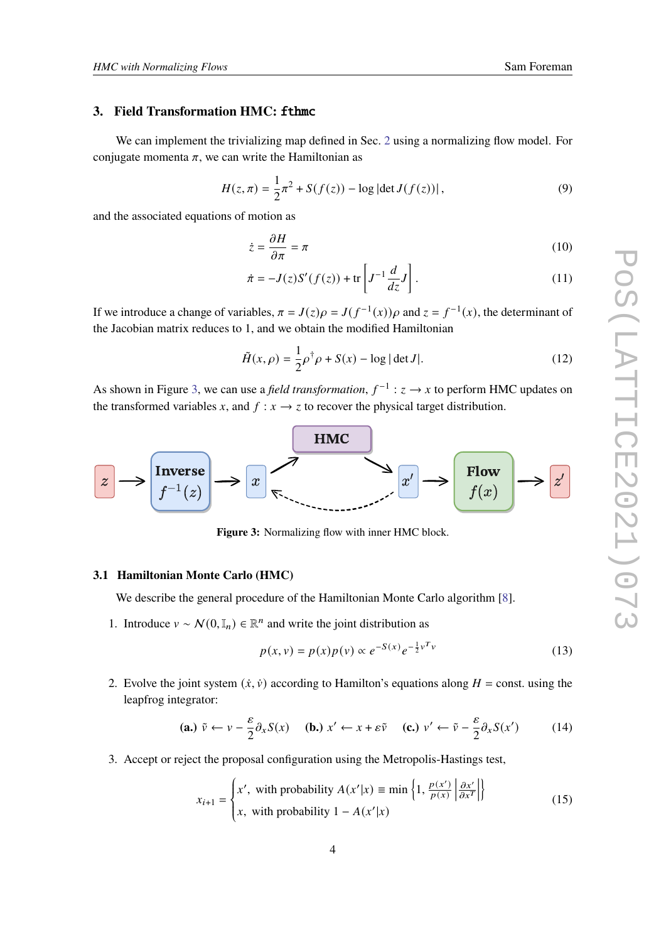#### **3. Field Transformation HMC: fthmc**

We can implement the trivializing map defined in Sec. [2](#page-2-2) using a normalizing flow model. For conjugate momenta  $\pi$ , we can write the Hamiltonian as

$$
H(z, \pi) = \frac{1}{2}\pi^2 + S(f(z)) - \log|\det J(f(z))|,
$$
\n(9)

and the associated equations of motion as

$$
\dot{z} = \frac{\partial H}{\partial \pi} = \pi \tag{10}
$$

$$
\dot{\pi} = -J(z)S'(f(z)) + \text{tr}\left[J^{-1}\frac{d}{dz}J\right].\tag{11}
$$

If we introduce a change of variables,  $\pi = J(z)\rho = J(f^{-1}(x))\rho$  and  $z = f^{-1}(x)$ , the determinant of the Jacobian matrix reduces to 1, and we obtain the modified Hamiltonian

$$
\tilde{H}(x,\rho) = \frac{1}{2}\rho^{\dagger}\rho + S(x) - \log|\det J|.
$$
 (12)

As shown in Figure [3,](#page-3-0) we can use a *field transformation*,  $f^{-1}$  :  $z \rightarrow x$  to perform HMC updates on the transformed variables x, and  $f : x \rightarrow z$  to recover the physical target distribution.

<span id="page-3-0"></span>

Figure 3: Normalizing flow with inner HMC block.

#### **3.1 Hamiltonian Monte Carlo (HMC)**

We describe the general procedure of the Hamiltonian Monte Carlo algorithm [\[8\]](#page-6-3).

1. Introduce  $v \sim \mathcal{N}(0, \mathbb{I}_n) \in \mathbb{R}^n$  and write the joint distribution as

$$
p(x, v) = p(x)p(v) \propto e^{-S(x)} e^{-\frac{1}{2}v^{T}v}
$$
\n(13)

2. Evolve the joint system  $(\dot{x}, \dot{v})$  according to Hamilton's equations along  $H = \text{const.}$  using the leapfrog integrator:

$$
\textbf{(a.) } \tilde{v} \leftarrow v - \frac{\varepsilon}{2} \partial_x S(x) \quad\n \textbf{(b.) } x' \leftarrow x + \varepsilon \tilde{v} \quad\n \textbf{(c.) } v' \leftarrow \tilde{v} - \frac{\varepsilon}{2} \partial_x S(x') \quad\n \tag{14}
$$

3. Accept or reject the proposal configuration using the Metropolis-Hastings test,

$$
x_{i+1} = \begin{cases} x', \text{ with probability } A(x'|x) \equiv \min\left\{1, \frac{p(x')}{p(x)} \left| \frac{\partial x'}{\partial x^T} \right| \right\} \\ x, \text{ with probability } 1 - A(x'|x) \end{cases}
$$
(15)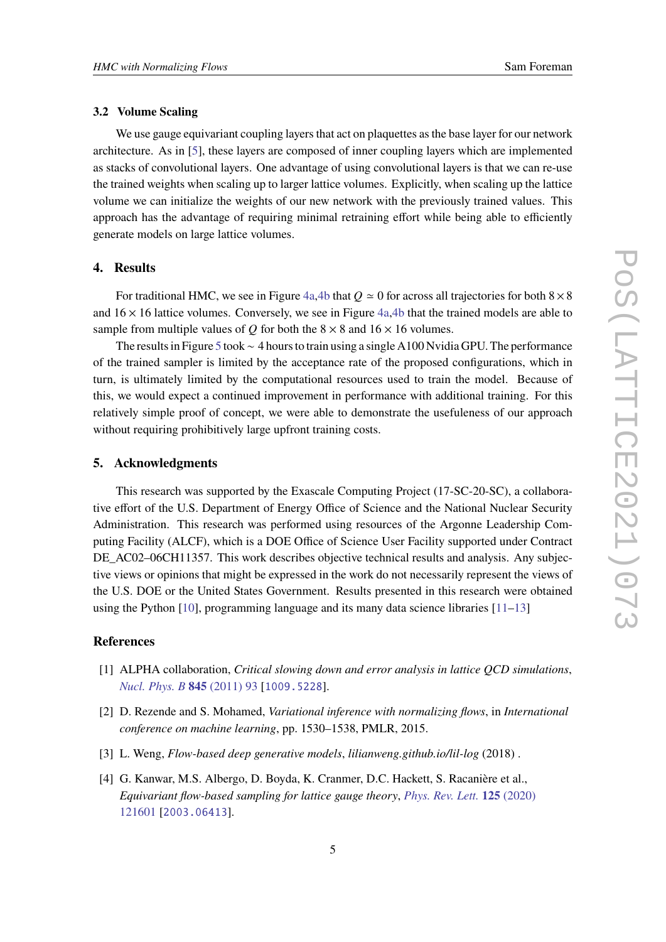#### **3.2 Volume Scaling**

We use gauge equivariant coupling layers that act on plaquettes as the base layer for our network architecture. As in [[5](#page-6-0)], these layers are composed of inner coupling layers which are implemented as stacks of convolutional layers. One advantage of using convolutional layers is that we can re-use the trained weights when scaling up to larger lattice volumes. Explicitly, when scaling up the lattice volume we can initialize the weights of our new network with the previously trained values. This approach has the advantage of requiring minimal retraining effort while being able to efficiently generate models on large lattice volumes.

#### **4. Results**

For traditional HMC, we see in Figure [4a,4b](#page-5-0) that  $Q \approx 0$  for across all trajectories for both  $8 \times 8$ and  $16 \times 16$  lattice volumes. Conversely, we see in Figure [4a](#page-5-0), [4b](#page-5-0) that the trained models are able to sample from multiple values of Q for both the  $8 \times 8$  and  $16 \times 16$  volumes.

The results in Figure [5](#page-5-1) took∼ 4 hours to train using a single A100 Nvidia GPU. The performance of the trained sampler is limited by the acceptance rate of the proposed configurations, which in turn, is ultimately limited by the computational resources used to train the model. Because of this, we would expect a continued improvement in performance with additional training. For this relatively simple proof of concept, we were able to demonstrate the usefuleness of our approach without requiring prohibitively large upfront training costs.

### **5. Acknowledgments**

This research was supported by the Exascale Computing Project (17-SC-20-SC), a collaborative effort of the U.S. Department of Energy Office of Science and the National Nuclear Security Administration. This research was performed using resources of the Argonne Leadership Computing Facility (ALCF), which is a DOE Office of Science User Facility supported under Contract DE\_AC02–06CH11357. This work describes objective technical results and analysis. Any subjective views or opinions that might be expressed in the work do not necessarily represent the views of the U.S. DOE or the United States Government. Results presented in this research were obtained using the Python  $[10]$ , programming language and its many data science libraries  $[11-13]$  $[11-13]$  $[11-13]$ 

#### **References**

- <span id="page-4-0"></span>[1] ALPHA collaboration, *Critical slowing down and error analysis in lattice QCD simulations*, *[Nucl. Phys. B](https://doi.org/10.1016/j.nuclphysb.2010.11.020)* **845** (2011) 93 [[1009.5228](https://arxiv.org/abs/1009.5228)].
- <span id="page-4-1"></span>[2] D. Rezende and S. Mohamed, *Variational inference with normalizing flows*, in *International conference on machine learning*, pp. 1530–1538, PMLR, 2015.
- <span id="page-4-2"></span>[3] L. Weng, *Flow-based deep generative models*, *lilianweng.github.io/lil-log* (2018) .
- <span id="page-4-3"></span>[4] G. Kanwar, M.S. Albergo, D. Boyda, K. Cranmer, D.C. Hackett, S. Racanière et al., *Equivariant flow-based sampling for lattice gauge theory*, *[Phys. Rev. Lett.](https://doi.org/10.1103/PhysRevLett.125.121601)* **125** (2020) [121601](https://doi.org/10.1103/PhysRevLett.125.121601) [[2003.06413](https://arxiv.org/abs/2003.06413)].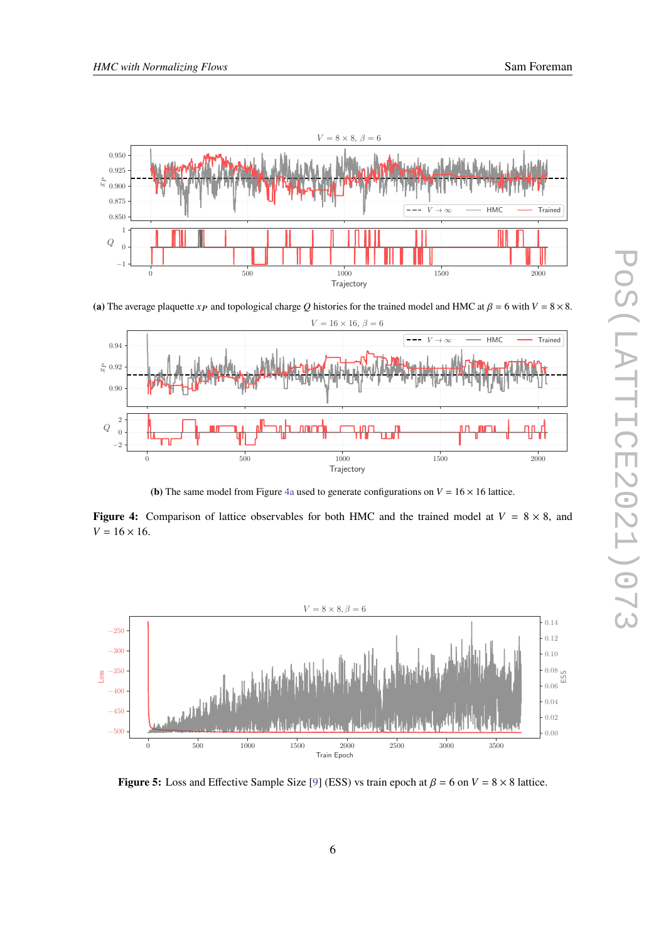<span id="page-5-0"></span>

(a) The average plaquette  $x_p$  and topological charge Q histories for the trained model and HMC at  $\beta = 6$  with  $V = 8 \times 8$ .



**(b)** The same model from Figure [4a](#page-5-0) used to generate configurations on  $V = 16 \times 16$  lattice.

**Figure 4:** Comparison of lattice observables for both HMC and the trained model at  $V = 8 \times 8$ , and  $V = 16 \times 16$ .

<span id="page-5-1"></span>

**Figure 5:** Loss and Effective Sample Size [[9\]](#page-6-7) (ESS) vs train epoch at  $\beta = 6$  on  $V = 8 \times 8$  lattice.